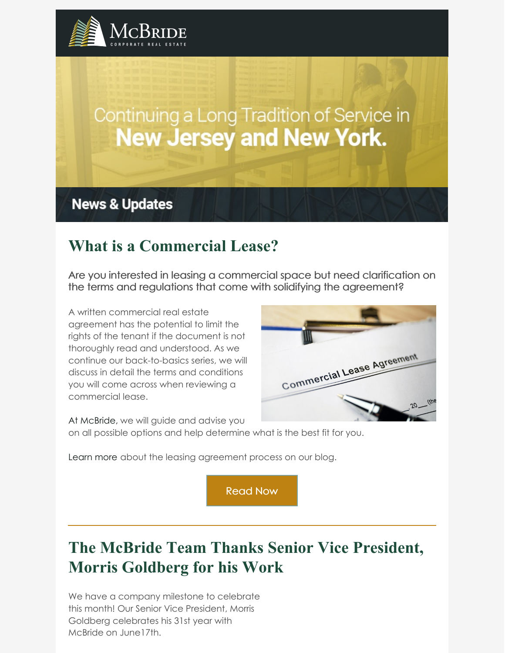

# Continuing a Long Tradition of Service in **New Jersey and New York.**

**News & Updates** 

### **What is a Commercial Lease?**

Are you interested in leasing a commercial space but need clarification on the terms and regulations that come with solidifying the agreement?

A written commercial real estate agreement has the potential to limit the rights of the tenant if the document is not thoroughly read and understood. As we continue our back-to-basics series, we will discuss in detail the terms and conditions you will come across when reviewing a commercial lease.



At McBride, we will guide and advise you on all possible options and help determine what is the best fit for you.

Learn more about the leasing agreement process on our blog.

[Read](https://www.mcbridecorpre.com/articles/what-is-a-commercial-lease/) Now

## **The McBride Team Thanks Senior Vice President, Morris Goldberg for his Work**

We have a company milestone to celebrate this month! Our Senior Vice President, Morris Goldberg celebrates his 31st year with McBride on June17th.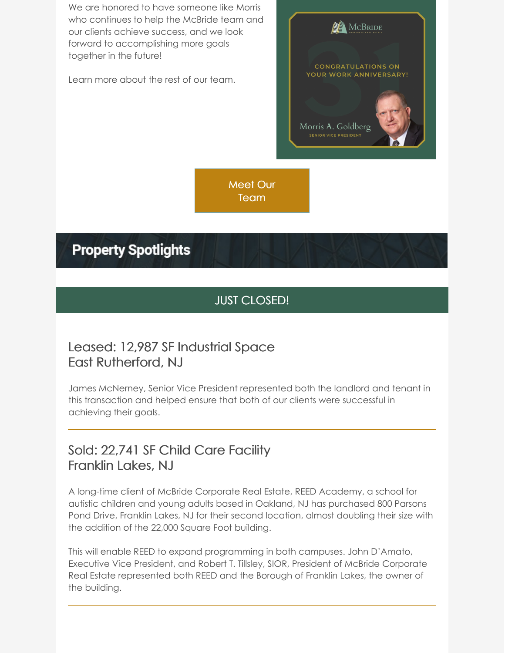We are honored to have someone like Morris who continues to help the McBride team and our clients achieve success, and we look forward to accomplishing more goals together in the future!

Learn more about the rest of our team.



Meet Our [Team](https://www.mcbridecorpre.com/staff-mcbride-corporate-real-estate/)

### **Property Spotlights**

#### JUST CLOSED!

#### Leased: 12,987 SF Industrial Space East Rutherford, NJ

James McNerney, Senior Vice President represented both the landlord and tenant in this transaction and helped ensure that both of our clients were successful in achieving their goals.

### Sold: 22,741 SF Child Care Facility Franklin Lakes, NJ

A long-time client of McBride Corporate Real Estate, REED Academy, a school for autistic children and young adults based in Oakland, NJ has purchased 800 Parsons Pond Drive, Franklin Lakes, NJ for their second location, almost doubling their size with the addition of the 22,000 Square Foot building.

This will enable REED to expand programming in both campuses. John D'Amato, Executive Vice President, and Robert T. Tillsley, SIOR, President of McBride Corporate Real Estate represented both REED and the Borough of Franklin Lakes, the owner of the building.